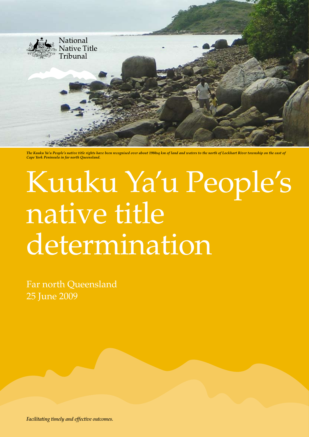

*The Kuuku Ya'u People's native title rights have been recognised over about 1980sq km of land and waters to the north of Lockhart River township on the east of Cape York Peninsula in far north Queensland.*

# Kuuku Ya'u People's native title determination

Far north Queensland 25 June 2009

*Facilitating timely and effective outcomes.*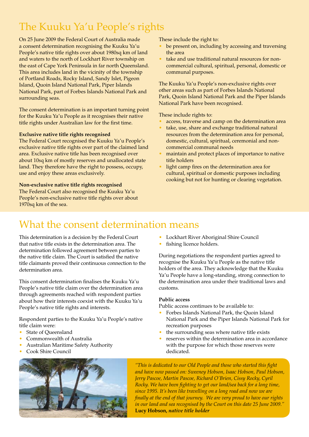## The Kuuku Ya'u People's rights

On 25 June 2009 the Federal Court of Australia made a consent determination recognising the Kuuku Ya'u People's native title rights over about 1980sq km of land and waters to the north of Lockhart River township on the east of Cape York Peninsula in far north Queensland. This area includes land in the vicinity of the township of Portland Roads, Rocky Island, Sandy Islet, Pigeon Island, Quoin Island National Park, Piper Islands National Park, part of Forbes Islands National Park and surrounding seas.

The consent determination is an important turning point for the Kuuku Ya'u People as it recognises their native title rights under Australian law for the first time.

## **Exclusive native title rights recognised**

The Federal Court recognised the Kuuku Ya'u People's exclusive native title rights over part of the claimed land area. Exclusive native title has been recognised over about 10sq km of mostly reserves and unallocated state land. They therefore have the right to possess, occupy, use and enjoy these areas exclusively.

## **Non-exclusive native title rights recognised**

The Federal Court also recognised the Kuuku Ya'u People's non-exclusive native title rights over about 1970sq km of the sea.

These include the right to:

- be present on, including by accessing and traversing the area
- take and use traditional natural resources for noncommercial cultural, spiritual, personal, domestic or communal purposes.

The Kuuku Ya'u People's non-exclusive rights over other areas such as part of Forbes Islands National Park, Quoin Island National Park and the Piper Islands National Park have been recognised.

These include rights to:

- access, traverse and camp on the determination area
- take, use, share and exchange traditional natural resources from the determination area for personal, domestic, cultural, spiritual, ceremonial and noncommercial communal needs
- maintain and protect places of importance to native title holders
- light camp fires on the determination area for cultural, spiritual or domestic purposes including cooking but not for hunting or clearing vegetation.

## What the consent determination means

This determination is a decision by the Federal Court that native title exists in the determination area. The determination followed agreement between parties to the native title claim. The Court is satisfied the native title claimants proved their continuous connection to the determination area.

This consent determination finalises the Kuuku Ya'u People's native title claim over the determination area through agreements reached with respondent parties about how their interests coexist with the Kuuku Ya'u People's native title rights and interests.

Respondent parties to the Kuuku Ya'u People's native title claim were:

- **State of Queensland**
- Commonwealth of Australia
- Australian Maritime Safety Authority
- Cook Shire Council



fishing licence holders.

During negotiations the respondent parties agreed to recognise the Kuuku Ya'u People as the native title holders of the area. They acknowledge that the Kuuku Ya'u People have a long-standing, strong connection to the determination area under their traditional laws and customs.

#### **Public access**

Public access continues to be available to:

- • Forbes Islands National Park, the Quoin Island National Park and the Piper Islands National Park for recreation purposes
- the surrounding seas where native title exists
- reserves within the determination area in accordance with the purpose for which those reserves were dedicated.

*"This is dedicated to our Old People and those who started this fight and have now passed on: Sweeney Hobson, Isaac Hobson, Paul Hobson, Jerry Pascoe, Martin Pascoe, Richard O'Brien, Cissy Rocky, Cyril Rocky. We have been fighting to get our land/sea back for a long time, since 1995. It's been like travelling on a long road and now we are finally at the end of that journey. We are very proud to have our rights in our land and sea recognised by the Court on this date 25 June 2009."* **Lucy Hobson,** *native title holder*

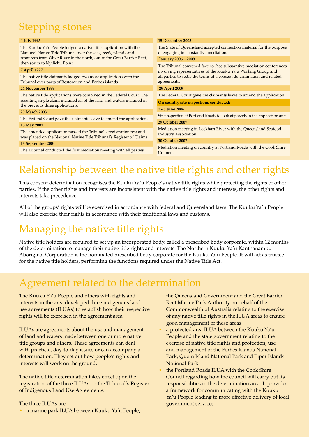# Stepping stones

| 4 July 1995                                                                                                                                                                                                                                       | 15 December 2005                                                                                                                      |
|---------------------------------------------------------------------------------------------------------------------------------------------------------------------------------------------------------------------------------------------------|---------------------------------------------------------------------------------------------------------------------------------------|
| The Kuuku Ya'u People lodged a native title application with the<br>National Native Title Tribunal over the seas, reefs, islands and<br>resources from Olive River in the north, out to the Great Barrier Reef,<br>then south to Nyllichii Point. | The State of Queensland accepted connection material for the purpose<br>of engaging in substantive mediation.                         |
|                                                                                                                                                                                                                                                   | <b>January 2006 - 2009</b>                                                                                                            |
| 7 April 1997                                                                                                                                                                                                                                      | The Tribunal convened face-to-face substantive mediation conferences<br>involving representatives of the Kuuku Ya'u Working Group and |
| The native title claimants lodged two more applications with the<br>Tribunal over parts of Restoration and Forbes islands.                                                                                                                        | all parties to settle the terms of a consent determination and related<br>agreements.                                                 |
| 24 November 1999                                                                                                                                                                                                                                  | 29 April 2009                                                                                                                         |
| The native title applications were combined in the Federal Court. The<br>resulting single claim included all of the land and waters included in<br>the previous three applications.                                                               | The Federal Court gave the claimants leave to amend the application.                                                                  |
|                                                                                                                                                                                                                                                   | On country site inspections conducted:                                                                                                |
| <b>20 March 2003</b>                                                                                                                                                                                                                              | 7 - 8 June 2006                                                                                                                       |
| The Federal Court gave the claimants leave to amend the application.                                                                                                                                                                              | Site inspection at Portland Roads to look at parcels in the application area.                                                         |
| 15 May 2003                                                                                                                                                                                                                                       | 29 October 2007                                                                                                                       |
| The amended application passed the Tribunal's registration test and<br>was placed on the National Native Title Tribunal's Register of Claims.                                                                                                     | Mediation meeting in Lockhart River with the Queensland Seafood<br><b>Industry Association.</b>                                       |
| 15 September 2004                                                                                                                                                                                                                                 | <b>30 October 2007</b>                                                                                                                |
| The Tribunal conducted the first mediation meeting with all parties.                                                                                                                                                                              | Mediation meeting on country at Portland Roads with the Cook Shire<br>Council.                                                        |
|                                                                                                                                                                                                                                                   |                                                                                                                                       |

# Relationship between the native title rights and other rights

This consent determination recognises the Kuuku Ya'u People's native title rights while protecting the rights of other parties. If the other rights and interests are inconsistent with the native title rights and interests, the other rights and interests take precedence.

All of the groups' rights will be exercised in accordance with federal and Queensland laws. The Kuuku Ya'u People will also exercise their rights in accordance with their traditional laws and customs.

## Managing the native title rights

Native title holders are required to set up an incorporated body, called a prescribed body corporate, within 12 months of the determination to manage their native title rights and interests. The Northern Kuuku Ya'u Kanthanampu Aboriginal Corporation is the nominated prescribed body corporate for the Kuuku Ya'u People. It will act as trustee for the native title holders, performing the functions required under the Native Title Act.

## Agreement related to the determination

The Kuuku Ya'u People and others with rights and interests in the area developed three indigenous land use agreements (ILUAs) to establish how their respective rights will be exercised in the agreement area.

ILUAs are agreements about the use and management of land and waters made between one or more native title groups and others. These agreements can deal with practical, day-to-day issues or can accompany a determination. They set out how people's rights and interests will work on the ground.

The native title determination takes effect upon the registration of the three ILUAs on the Tribunal's Register of Indigenous Land Use Agreements.

#### The three ILUAs are:

• a marine park ILUA between Kuuku Ya'u People,

the Queensland Government and the Great Barrier Reef Marine Park Authority on behalf of the Commonwealth of Australia relating to the exercise of any native title rights in the ILUA areas to ensure good management of these areas

- a protected area ILUA between the Kuuku Ya'u People and the state government relating to the exercise of native title rights and protection, use and management of the Forbes Islands National Park, Quoin Island National Park and Piper Islands National Park
- the Portland Roads ILUA with the Cook Shire Council regarding how the council will carry out its responsibilities in the determination area. It provides a framework for communicating with the Kuuku Ya'u People leading to more effective delivery of local government services.